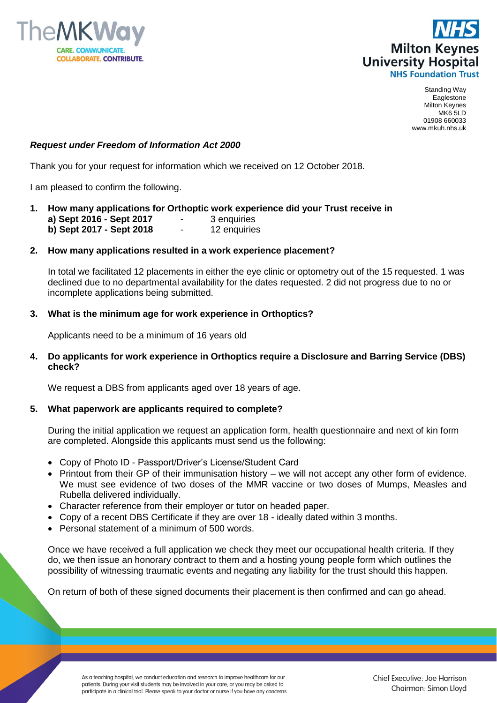



Standing Way Eaglestone Milton Keynes MK6 5LD 01908 660033 www.mkuh.nhs.uk

## *Request under Freedom of Information Act 2000*

Thank you for your request for information which we received on 12 October 2018.

I am pleased to confirm the following.

**1. How many applications for Orthoptic work experience did your Trust receive in a) Sept 2016 - Sept 2017** - 3 enquiries **b) Sept 2017 - Sept 2018** - 12 enquiries

### **2. How many applications resulted in a work experience placement?**

In total we facilitated 12 placements in either the eye clinic or optometry out of the 15 requested. 1 was declined due to no departmental availability for the dates requested. 2 did not progress due to no or incomplete applications being submitted.

### **3. What is the minimum age for work experience in Orthoptics?**

Applicants need to be a minimum of 16 years old

**4. Do applicants for work experience in Orthoptics require a Disclosure and Barring Service (DBS) check?** 

We request a DBS from applicants aged over 18 years of age.

#### **5. What paperwork are applicants required to complete?**

During the initial application we request an application form, health questionnaire and next of kin form are completed. Alongside this applicants must send us the following:

- Copy of Photo ID Passport/Driver's License/Student Card
- Printout from their GP of their immunisation history we will not accept any other form of evidence. We must see evidence of two doses of the MMR vaccine or two doses of Mumps, Measles and Rubella delivered individually.
- Character reference from their employer or tutor on headed paper.
- Copy of a recent DBS Certificate if they are over 18 ideally dated within 3 months.
- Personal statement of a minimum of 500 words.

Once we have received a full application we check they meet our occupational health criteria. If they do, we then issue an honorary contract to them and a hosting young people form which outlines the possibility of witnessing traumatic events and negating any liability for the trust should this happen.

On return of both of these signed documents their placement is then confirmed and can go ahead.

As a teaching hospital, we conduct education and research to improve healthcare for our patients. During your visit students may be involved in your care, or you may be asked to participate in a clinical trial. Please speak to your doctor or nurse if you have any concerns.